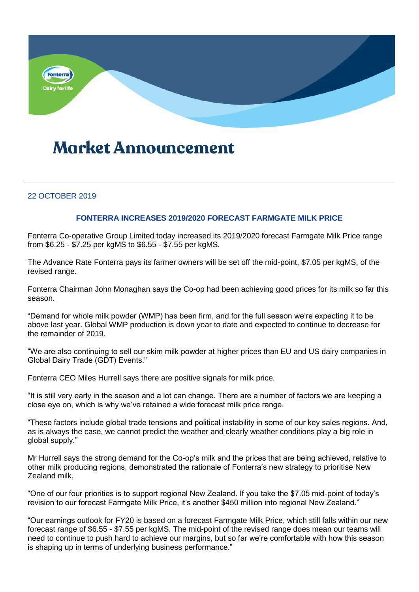

# **Market Announcement**

### 22 OCTOBER 2019

### **FONTERRA INCREASES 2019/2020 FORECAST FARMGATE MILK PRICE**

Fonterra Co-operative Group Limited today increased its 2019/2020 forecast Farmgate Milk Price range from \$6.25 - \$7.25 per kgMS to \$6.55 - \$7.55 per kgMS.

The Advance Rate Fonterra pays its farmer owners will be set off the mid-point, \$7.05 per kgMS, of the revised range.

Fonterra Chairman John Monaghan says the Co-op had been achieving good prices for its milk so far this season.

"Demand for whole milk powder (WMP) has been firm, and for the full season we're expecting it to be above last year. Global WMP production is down year to date and expected to continue to decrease for the remainder of 2019.

"We are also continuing to sell our skim milk powder at higher prices than EU and US dairy companies in Global Dairy Trade (GDT) Events."

Fonterra CEO Miles Hurrell says there are positive signals for milk price.

"It is still very early in the season and a lot can change. There are a number of factors we are keeping a close eye on, which is why we've retained a wide forecast milk price range.

"These factors include global trade tensions and political instability in some of our key sales regions. And, as is always the case, we cannot predict the weather and clearly weather conditions play a big role in global supply."

Mr Hurrell says the strong demand for the Co-op's milk and the prices that are being achieved, relative to other milk producing regions, demonstrated the rationale of Fonterra's new strategy to prioritise New Zealand milk.

"One of our four priorities is to support regional New Zealand. If you take the \$7.05 mid-point of today's revision to our forecast Farmgate Milk Price, it's another \$450 million into regional New Zealand."

"Our earnings outlook for FY20 is based on a forecast Farmgate Milk Price, which still falls within our new forecast range of \$6.55 - \$7.55 per kgMS. The mid-point of the revised range does mean our teams will need to continue to push hard to achieve our margins, but so far we're comfortable with how this season is shaping up in terms of underlying business performance."